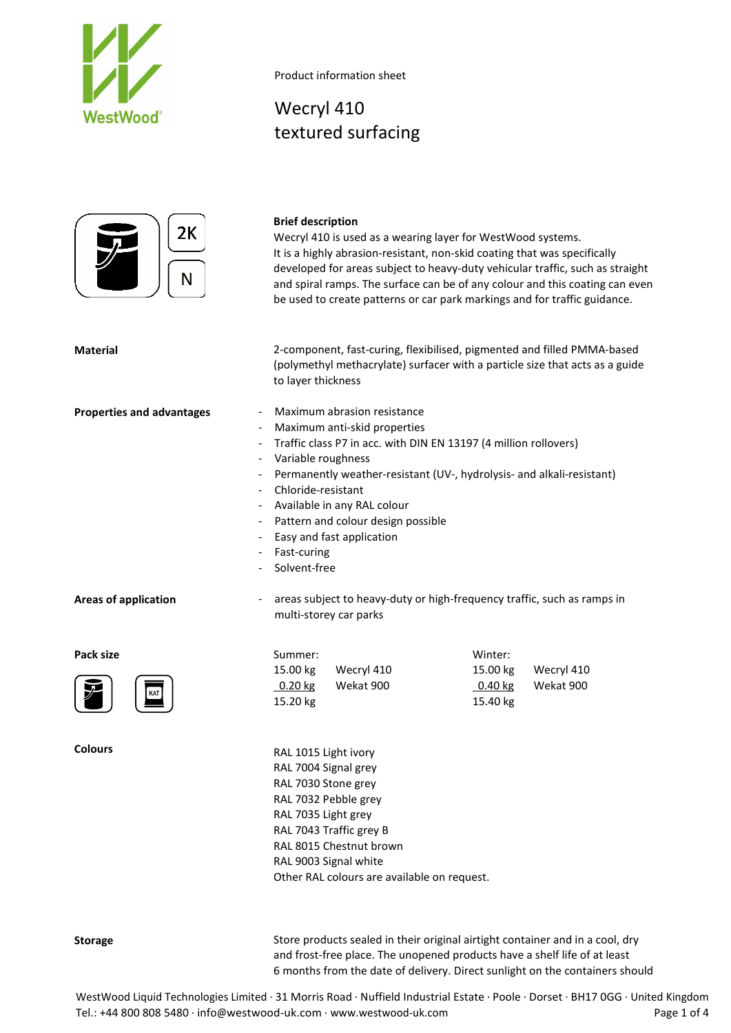

# Wecryl 410 textured surfacing



**Storage** Store products sealed in their original airtight container and in a cool, dry and frost-free place. The unopened products have a shelf life of at least 6 months from the date of delivery. Direct sunlight on the containers should

WestWood Liquid Technologies Limited · 31 Morris Road · Nuffield Industrial Estate · Poole · Dorset · BH17 0GG · United Kingdom Tel.: +44 800 808 5480 · info@westwood-uk.com · www.westwood-uk.com example are example at the Page 1 of 4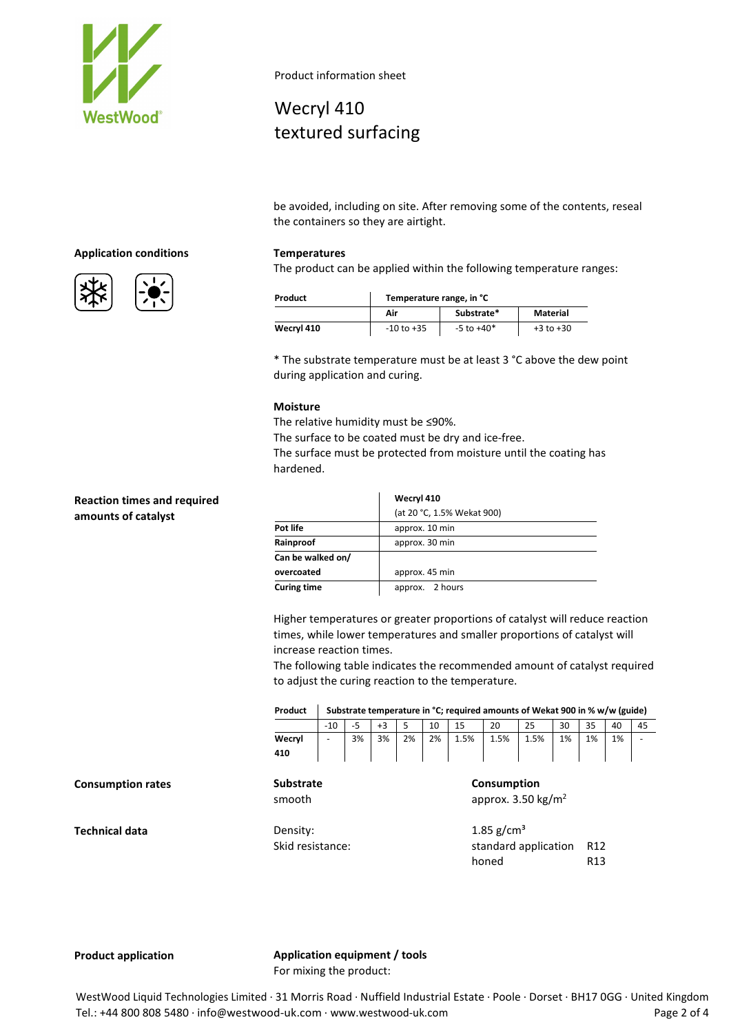

# Wecryl 410 textured surfacing

be avoided, including on site. After removing some of the contents, reseal the containers so they are airtight.

## **Application conditions Temperatures**



The product can be applied within the following temperature ranges:

| Product    | Temperature range, in °C |                |               |  |  |  |  |
|------------|--------------------------|----------------|---------------|--|--|--|--|
|            | Air                      | Substrate*     | Material      |  |  |  |  |
| Wecryl 410 | $-10$ to $+35$           | $-5$ to $+40*$ | $+3$ to $+30$ |  |  |  |  |

\* The substrate temperature must be at least 3 °C above the dew point during application and curing.

#### **Moisture**

The relative humidity must be ≤90%.

The surface to be coated must be dry and ice-free.

The surface must be protected from moisture until the coating has hardened.

|                    | Wecryl 410                 |  |  |  |  |  |
|--------------------|----------------------------|--|--|--|--|--|
|                    | (at 20 °C, 1.5% Wekat 900) |  |  |  |  |  |
| Pot life           | approx. 10 min             |  |  |  |  |  |
| Rainproof          | approx. 30 min             |  |  |  |  |  |
| Can be walked on/  |                            |  |  |  |  |  |
| overcoated         | approx. 45 min             |  |  |  |  |  |
| <b>Curing time</b> | approx. 2 hours            |  |  |  |  |  |

Higher temperatures or greater proportions of catalyst will reduce reaction times, while lower temperatures and smaller proportions of catalyst will increase reaction times.

The following table indicates the recommended amount of catalyst required to adjust the curing reaction to the temperature.

|  | Product   Substrate temperature in °C; required amounts of Wekat 900 in % w/w (guide) |
|--|---------------------------------------------------------------------------------------|
|--|---------------------------------------------------------------------------------------|

|                  | $-10$                         | $-5$ | $+3$ | 5                                       | 10 | 15          | 20                       | 25   | 30 | 35  | 40 | 45 |
|------------------|-------------------------------|------|------|-----------------------------------------|----|-------------|--------------------------|------|----|-----|----|----|
| Wecryl           |                               | 3%   | 3%   | 2%                                      | 2% | 1.5%        | 1.5%                     | 1.5% | 1% | 1%  | 1% |    |
| 410              |                               |      |      |                                         |    |             |                          |      |    |     |    |    |
| <b>Substrate</b> |                               |      |      |                                         |    | Consumption |                          |      |    |     |    |    |
| smooth           | approx. $3.50 \text{ kg/m}^2$ |      |      |                                         |    |             |                          |      |    |     |    |    |
| Density:         |                               |      |      |                                         |    |             | $1.85$ g/cm <sup>3</sup> |      |    |     |    |    |
| Skid resistance: |                               |      |      | standard application<br>R <sub>12</sub> |    |             |                          |      |    |     |    |    |
|                  |                               |      |      |                                         |    |             | honed                    |      |    | R13 |    |    |

**Consumption rates** 

**Technical data** 

**Product application Application equipment / tools** For mixing the product:

WestWood Liquid Technologies Limited · 31 Morris Road · Nuffield Industrial Estate · Poole · Dorset · BH17 0GG · United Kingdom Tel.: +44 800 808 5480 · info@westwood-uk.com · www.westwood-uk.com example are example as a page 2 of 4

## **Reaction times and required amounts of catalyst**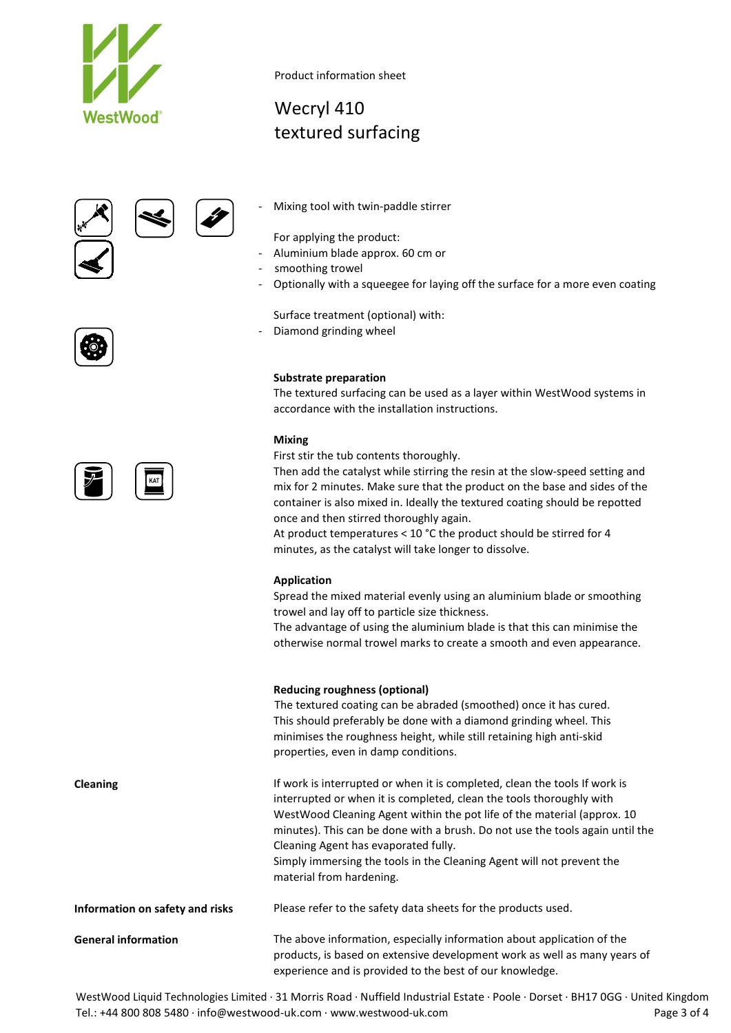

Wecryl 410 textured surfacing

Mixing tool with twin-paddle stirrer

For applying the product:

- Aluminium blade approx. 60 cm or
- smoothing trowel
- Optionally with a squeegee for laying off the surface for a more even coating

Surface treatment (optional) with:

Diamond grinding wheel

#### **Substrate preparation**

The textured surfacing can be used as a layer within WestWood systems in accordance with the installation instructions.

#### **Mixing**

First stir the tub contents thoroughly.

Then add the catalyst while stirring the resin at the slow-speed setting and mix for 2 minutes. Make sure that the product on the base and sides of the container is also mixed in. Ideally the textured coating should be repotted once and then stirred thoroughly again.

At product temperatures < 10 °C the product should be stirred for 4 minutes, as the catalyst will take longer to dissolve.

## **Application**

Spread the mixed material evenly using an aluminium blade or smoothing trowel and lay off to particle size thickness.

The advantage of using the aluminium blade is that this can minimise the otherwise normal trowel marks to create a smooth and even appearance.

#### **Reducing roughness (optional)**

The textured coating can be abraded (smoothed) once it has cured. This should preferably be done with a diamond grinding wheel. This minimises the roughness height, while still retaining high anti-skid properties, even in damp conditions.

**Cleaning If work is interrupted or when it is completed, clean the tools If work is completed, clean the tools If work is** interrupted or when it is completed, clean the tools thoroughly with WestWood Cleaning Agent within the pot life of the material (approx. 10 minutes). This can be done with a brush. Do not use the tools again until the Cleaning Agent has evaporated fully. Simply immersing the tools in the Cleaning Agent will not prevent the

material from hardening.

**Information on safety and risks** Please refer to the safety data sheets for the products used.

**General information** The above information, especially information about application of the products, is based on extensive development work as well as many years of experience and is provided to the best of our knowledge.

WestWood Liquid Technologies Limited · 31 Morris Road · Nuffield Industrial Estate · Poole · Dorset · BH17 0GG · United Kingdom Tel.: +44 800 808 5480 · info@westwood-uk.com · www.westwood-uk.com example a set the page 3 of 4